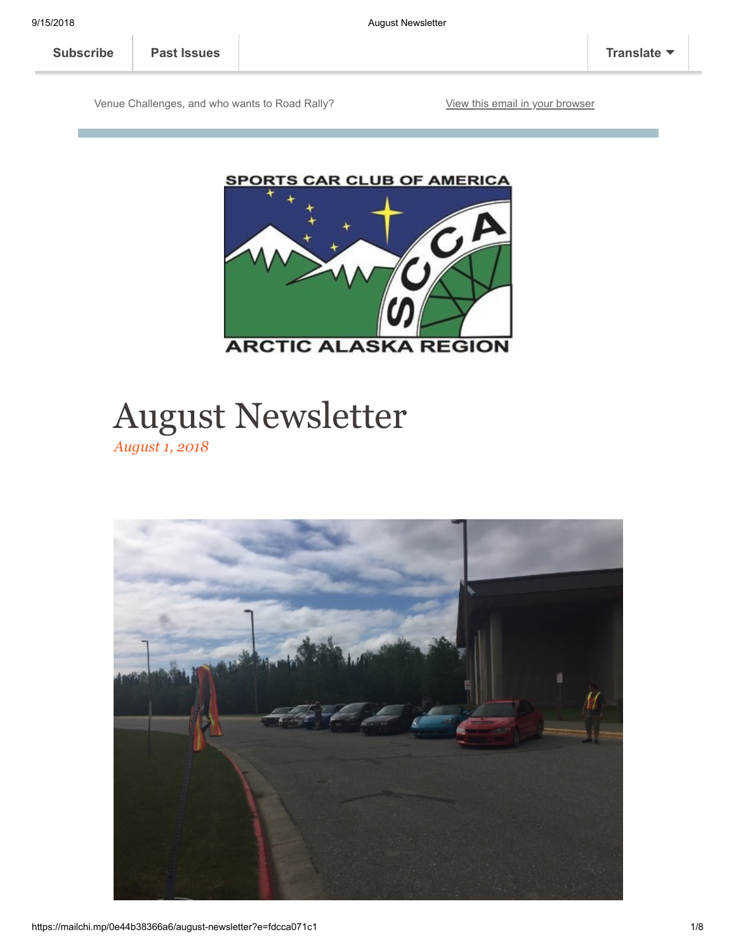Venue Challenges, and who wants to Road Rally? [View this email in your browser](https://mailchi.mp/0e44b38366a6/august-newsletter?e=fdcca071c1)





# August Newsletter

*August 1, 2018*

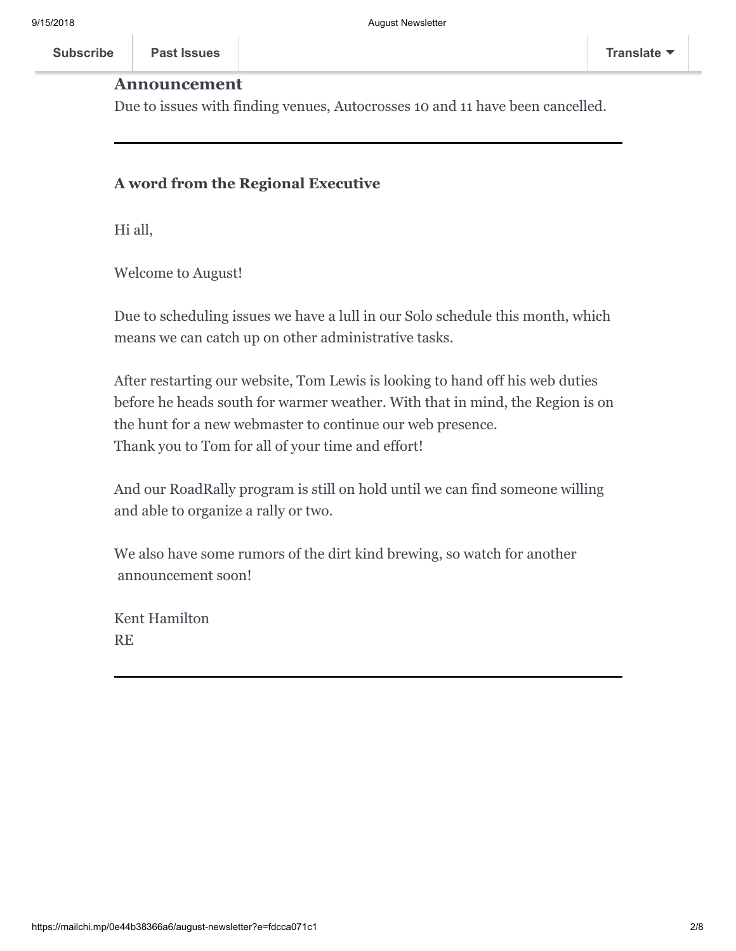### **Announcement**

Due to issues with finding venues, Autocrosses 10 and 11 have been cancelled.

### **A word from the Regional Executive**

Hi all,

**Subscribe Past Issues** 

Welcome to August!

Due to scheduling issues we have a lull in our Solo schedule this month, which means we can catch up on other administrative tasks.

After restarting our website, Tom Lewis is looking to hand off his web duties before he heads south for warmer weather. With that in mind, the Region is on the hunt for a new webmaster to continue our web presence. Thank you to Tom for all of your time and effort!

And our RoadRally program is still on hold until we can find someone willing and able to organize a rally or two.

We also have some rumors of the dirt kind brewing, so watch for another announcement soon!

Kent Hamilton RE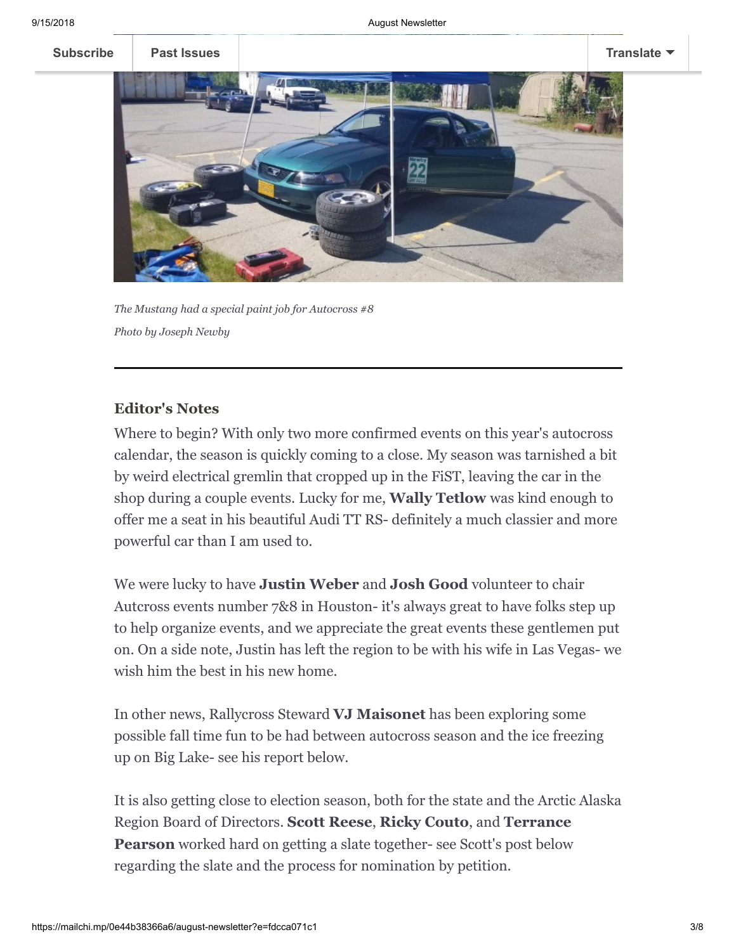

*The Mustang had a special paint job for Autocross #8 Photo by Joseph Newby*

# **Editor's Notes**

Where to begin? With only two more confirmed events on this year's autocross calendar, the season is quickly coming to a close. My season was tarnished a bit by weird electrical gremlin that cropped up in the FiST, leaving the car in the shop during a couple events. Lucky for me, **Wally Tetlow** was kind enough to offer me a seat in his beautiful Audi TT RS- definitely a much classier and more powerful car than I am used to.

We were lucky to have **Justin Weber** and **Josh Good** volunteer to chair Autcross events number 7&8 in Houston- it's always great to have folks step up to help organize events, and we appreciate the great events these gentlemen put on. On a side note, Justin has left the region to be with his wife in Las Vegas- we wish him the best in his new home.

In other news, Rallycross Steward **VJ Maisonet** has been exploring some possible fall time fun to be had between autocross season and the ice freezing up on Big Lake- see his report below.

It is also getting close to election season, both for the state and the Arctic Alaska Region Board of Directors. **Scott Reese**, **Ricky Couto**, and **Terrance Pearson** worked hard on getting a slate together- see Scott's post below regarding the slate and the process for nomination by petition.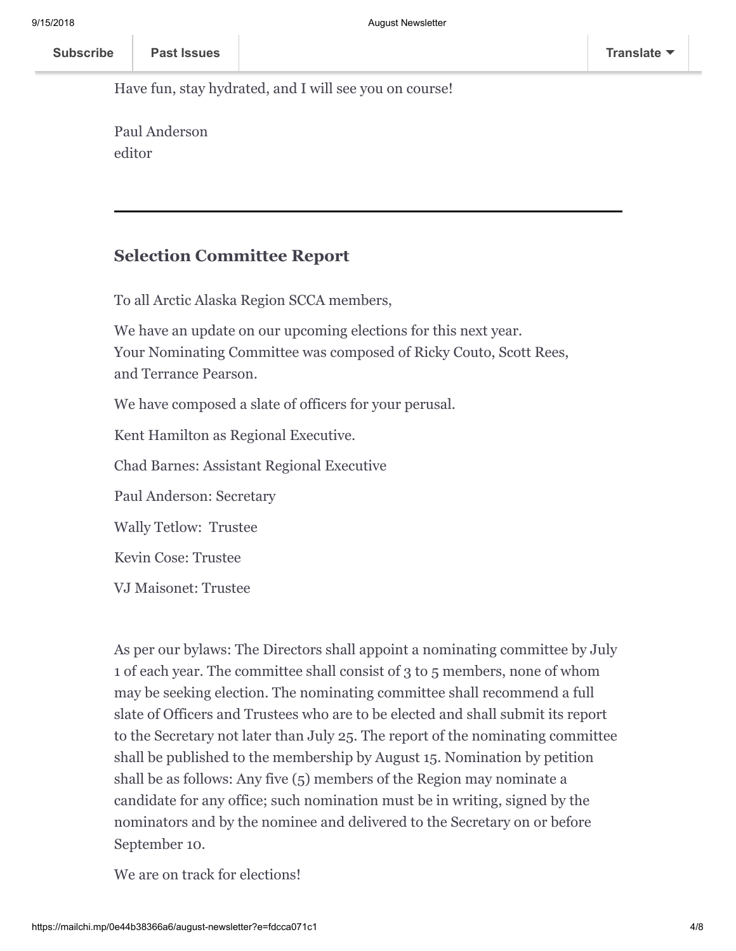Have fun, stay hydrated, and I will see you on course!

Paul Anderson editor

# **Selection Committee Report**

To all Arctic Alaska Region SCCA members,

We have an update on our upcoming elections for this next year. Your Nominating Committee was composed of Ricky Couto, Scott Rees, and Terrance Pearson.

We have composed a slate of officers for your perusal.

Kent Hamilton as Regional Executive.

Chad Barnes: Assistant Regional Executive

Paul Anderson: Secretary

Wally Tetlow: Trustee

Kevin Cose: Trustee

VJ Maisonet: Trustee

As per our bylaws: The Directors shall appoint a nominating committee by July 1 of each year. The committee shall consist of 3 to 5 members, none of whom may be seeking election. The nominating committee shall recommend a full slate of Officers and Trustees who are to be elected and shall submit its report to the Secretary not later than July 25. The report of the nominating committee shall be published to the membership by August 15. Nomination by petition shall be as follows: Any five (5) members of the Region may nominate a candidate for any office; such nomination must be in writing, signed by the nominators and by the nominee and delivered to the Secretary on or before September 10.

We are on track for elections!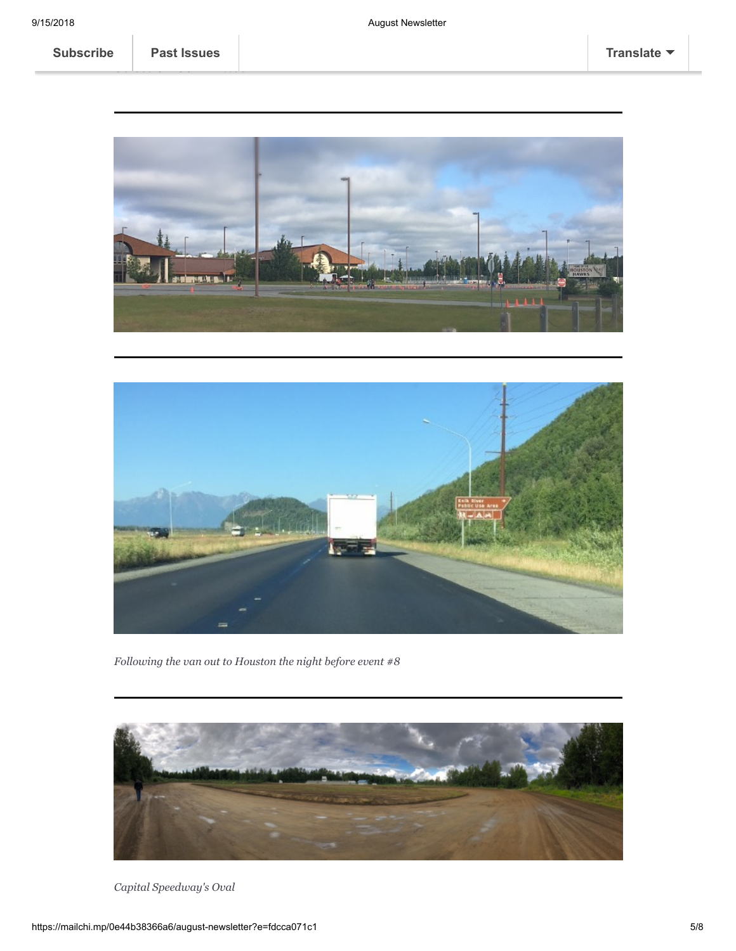



*Following the van out to Houston the night before event #8*



*Capital Speedway's Oval*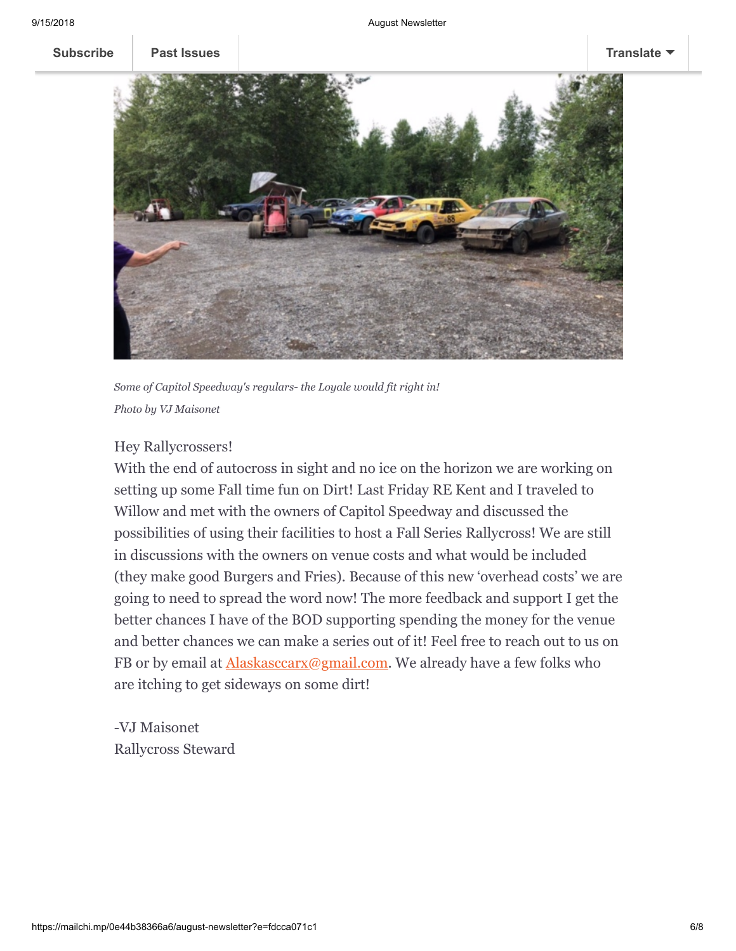

*Some of Capitol Speedway's regulars- the Loyale would fit right in! Photo by VJ Maisonet*

## Hey Rallycrossers!

With the end of autocross in sight and no ice on the horizon we are working on setting up some Fall time fun on Dirt! Last Friday RE Kent and I traveled to Willow and met with the owners of Capitol Speedway and discussed the possibilities of using their facilities to host a Fall Series Rallycross! We are still in discussions with the owners on venue costs and what would be included (they make good Burgers and Fries). Because of this new 'overhead costs' we are going to need to spread the word now! The more feedback and support I get the better chances I have of the BOD supporting spending the money for the venue and better chances we can make a series out of it! Feel free to reach out to us on FB or by email at **Alaskasccarx**@gmail.com. We already have a few folks who are itching to get sideways on some dirt!

-VJ Maisonet Rallycross Steward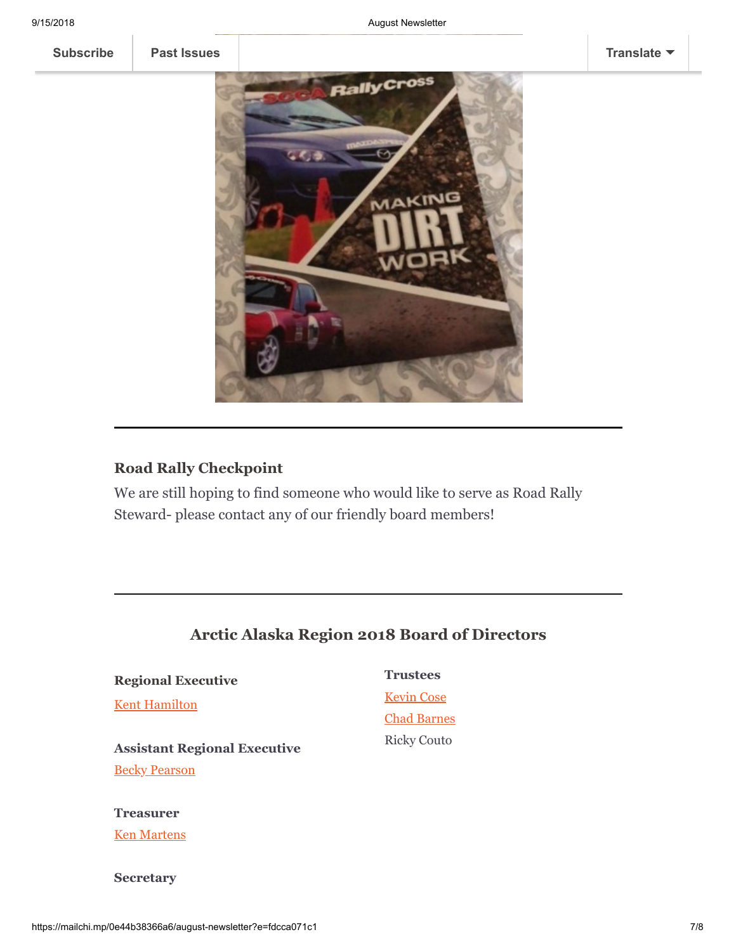**[Subscribe](http://eepurl.com/c7EnUz) [Past Issues](https://us16.campaign-archive.com/home/?u=319895ea507374e1f06a6b74b&id=37bb9b9bfb) [Translate](javascript:;)**



## **Road Rally Checkpoint**

We are still hoping to find someone who would like to serve as Road Rally Steward- please contact any of our friendly board members!

# **Arctic Alaska Region 2018 Board of Directors**

**Regional Executive**

**[Kent Hamilton](mailto:kent.hamilton.134@gmail.com)** 

**Assistant Regional Executive [Becky Pearson](mailto:bpeago@aol.com?subject=Newsletter%20contact)** 

## **Treasurer**

[Ken Martens](mailto:kengsxr@yahoo.com?subject=Newsletter%20Response)

**Secretary**

# **Trustees** [Kevin Cose](mailto:kcose@gci.net)

[Chad Barnes](mailto:cebarnes@kent.edu) Ricky Couto